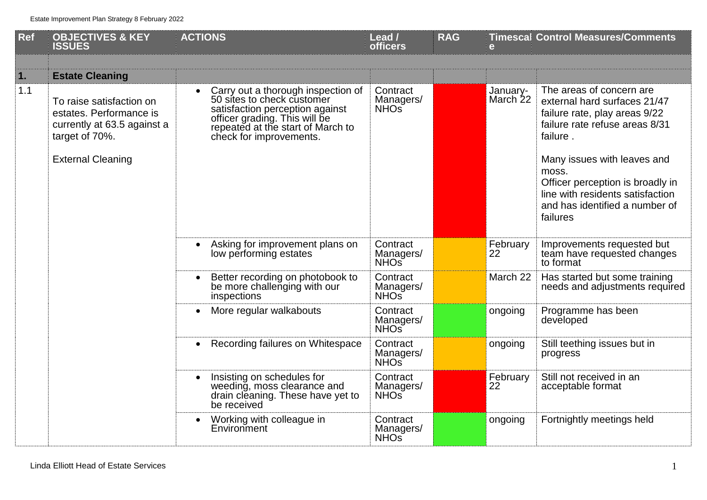| <b>Ref</b> | <b>OBJECTIVES &amp; KEY</b><br><b>ISSUES</b>                                                                                     | <b>ACTIONS</b>                                                                                                                                                                                       | Lead /<br><b>officers</b>                 | <b>RAG</b> | e                    | <b>Timescal Control Measures/Comments</b>                                                                                                                                                                                                                                                             |
|------------|----------------------------------------------------------------------------------------------------------------------------------|------------------------------------------------------------------------------------------------------------------------------------------------------------------------------------------------------|-------------------------------------------|------------|----------------------|-------------------------------------------------------------------------------------------------------------------------------------------------------------------------------------------------------------------------------------------------------------------------------------------------------|
| 1.         | <b>Estate Cleaning</b>                                                                                                           |                                                                                                                                                                                                      |                                           |            |                      |                                                                                                                                                                                                                                                                                                       |
| 1.1        | To raise satisfaction on<br>estates. Performance is<br>currently at 63.5 against a<br>target of 70%.<br><b>External Cleaning</b> | Carry out a thorough inspection of<br>50 sites to check customer<br>satisfaction perception against<br>officer grading. This will be<br>repeated at the start of March to<br>check for improvements. | Contract<br>Managers/<br>NHO <sub>S</sub> |            | January-<br>March 22 | The areas of concern are<br>external hard surfaces 21/47<br>failure rate, play areas 9/22<br>failure rate refuse areas 8/31<br>failure.<br>Many issues with leaves and<br>moss.<br>Officer perception is broadly in<br>line with residents satisfaction<br>and has identified a number of<br>failures |
|            |                                                                                                                                  | Asking for improvement plans on<br>low performing estates                                                                                                                                            | Contract<br>Managers/<br>NHO <sub>S</sub> |            | February<br>22       | Improvements requested but<br>team have requested changes<br>to format                                                                                                                                                                                                                                |
|            |                                                                                                                                  | Better recording on photobook to<br>be more challenging with our<br>inspections                                                                                                                      | Contract<br>Managers/<br>NHO <sub>S</sub> |            | March 22             | Has started but some training<br>needs and adjustments required                                                                                                                                                                                                                                       |
|            |                                                                                                                                  | More regular walkabouts                                                                                                                                                                              | Contract<br>Managers/<br>NHO <sub>S</sub> |            | ongoing              | Programme has been<br>developed                                                                                                                                                                                                                                                                       |
|            |                                                                                                                                  | Recording failures on Whitespace<br>$\bullet$                                                                                                                                                        | Contract<br>Managers/<br>NHO <sub>S</sub> |            | ongoing              | Still teething issues but in<br>progress                                                                                                                                                                                                                                                              |
|            |                                                                                                                                  | Insisting on schedules for<br>weeding, moss clearance and<br>drain cleaning. These have yet to<br>be received                                                                                        | Contract<br>Managers/<br>NHO <sub>S</sub> |            | February<br>22       | Still not received in an<br>acceptable format                                                                                                                                                                                                                                                         |
|            |                                                                                                                                  | Working with colleague in<br>Environment                                                                                                                                                             | Contract<br>Managers/<br>NHO <sub>S</sub> |            | ongoing              | Fortnightly meetings held                                                                                                                                                                                                                                                                             |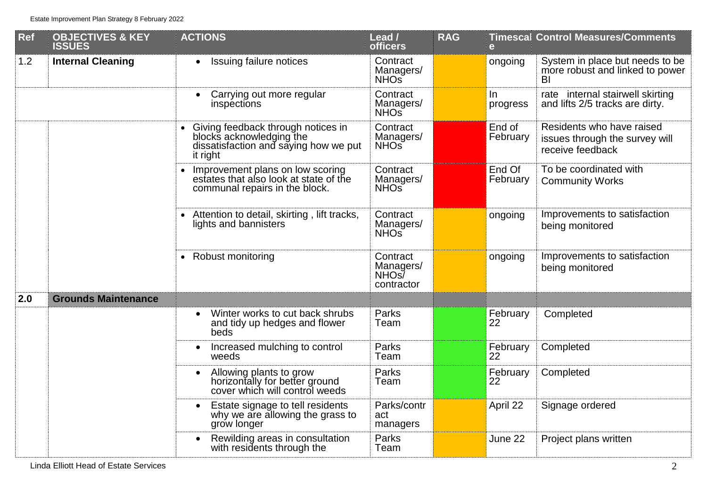| <b>Ref</b> | <b>OBJECTIVES &amp; KEY</b><br><b>ISSUES</b> | <b>ACTIONS</b>                                                                                                      | Lead /<br><b>officers</b>                               | <b>RAG</b> | e                  | <b>Timescal Control Measures/Comments</b>                                       |
|------------|----------------------------------------------|---------------------------------------------------------------------------------------------------------------------|---------------------------------------------------------|------------|--------------------|---------------------------------------------------------------------------------|
| 1.2        | <b>Internal Cleaning</b>                     | Issuing failure notices<br>$\bullet$                                                                                | Contract<br>Managers/<br>NHO <sub>s</sub>               |            | ongoing            | System in place but needs to be<br>more robust and linked to power<br>BI        |
|            |                                              | Carrying out more regular<br>$\bullet$<br>inspections                                                               | Contract<br>Managers/<br>NHO <sub>S</sub>               |            | $\ln$<br>progress  | rate internal stairwell skirting<br>and lifts 2/5 tracks are dirty.             |
|            |                                              | Giving feedback through notices in<br>blocks acknowledging the<br>dissatisfaction and saying how we put<br>it right | Contract<br>Managers/<br><b>NHO<sub>S</sub></b>         |            | End of<br>February | Residents who have raised<br>issues through the survey will<br>receive feedback |
|            |                                              | Improvement plans on low scoring<br>estates that also look at state of the<br>communal repairs in the block.        | Contract<br>Managers/<br>NHO <sub>S</sub>               |            | End Of<br>February | To be coordinated with<br><b>Community Works</b>                                |
|            |                                              | Attention to detail, skirting, lift tracks,<br>lights and bannisters                                                | Contract<br>Managers/<br>NHO <sub>S</sub>               |            | ongoing            | Improvements to satisfaction<br>being monitored                                 |
|            |                                              | Robust monitoring                                                                                                   | Contract<br>Managers/<br>NHO <sub>s</sub><br>contractor |            | ongoing            | Improvements to satisfaction<br>being monitored                                 |
| 2.0        | <b>Grounds Maintenance</b>                   |                                                                                                                     |                                                         |            |                    |                                                                                 |
|            |                                              | Winter works to cut back shrubs<br>$\bullet$<br>and tidy up hedges and flower<br>beds                               | Parks<br>Team                                           |            | February<br>22     | Completed                                                                       |
|            |                                              | Increased mulching to control<br>$\bullet$<br>weeds                                                                 | Parks<br>Team                                           |            | February<br>22     | Completed                                                                       |
|            |                                              | Allowing plants to grow<br>horizontally for better ground<br>cover which will control weeds                         | Parks<br>Team                                           |            | February<br>22     | Completed                                                                       |
|            |                                              | Estate signage to tell residents<br>$\bullet$<br>why we are allowing the grass to<br>grow longer                    | Parks/contr<br>act<br>managers                          |            | April 22           | Signage ordered                                                                 |
|            |                                              | Rewilding areas in consultation<br>$\bullet$<br>with residents through the                                          | Parks<br>Team                                           |            | June 22            | Project plans written                                                           |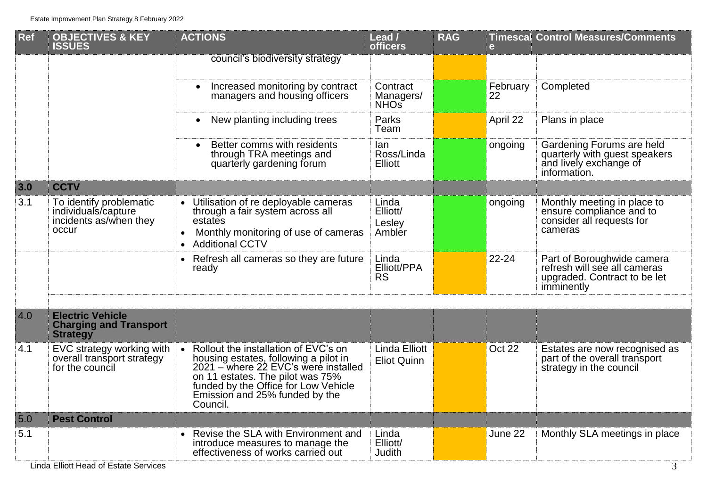| <b>Ref</b> | <b>OBJECTIVES &amp; KEY</b><br><b>ISSUES</b>                                      | <b>ACTIONS</b>                                                                                                                                                                                                                                  | Lead /<br>officers                         | <b>RAG</b> | $\mathbf{e}$   | <b>Timescal Control Measures/Comments</b>                                                                |
|------------|-----------------------------------------------------------------------------------|-------------------------------------------------------------------------------------------------------------------------------------------------------------------------------------------------------------------------------------------------|--------------------------------------------|------------|----------------|----------------------------------------------------------------------------------------------------------|
|            |                                                                                   | council's biodiversity strategy                                                                                                                                                                                                                 |                                            |            |                |                                                                                                          |
|            |                                                                                   | Increased monitoring by contract<br>$\bullet$<br>managers and housing officers                                                                                                                                                                  | Contract<br>Managers/<br>NHO <sub>S</sub>  |            | February<br>22 | Completed                                                                                                |
|            |                                                                                   | New planting including trees<br>$\bullet$                                                                                                                                                                                                       | Parks<br>Team                              |            | April 22       | Plans in place                                                                                           |
|            |                                                                                   | Better comms with residents<br>$\bullet$<br>through TRA meetings and<br>quarterly gardening forum                                                                                                                                               | lan<br>Ross/Linda<br><b>Elliott</b>        |            | ongoing        | Gardening Forums are held<br>quarterly with guest speakers<br>and lively exchange of<br>information.     |
| 3.0        | <b>CCTV</b>                                                                       |                                                                                                                                                                                                                                                 |                                            |            |                |                                                                                                          |
| 3.1        | To identify problematic<br>individuals/capture<br>incidents as/when they<br>occur | Utilisation of re deployable cameras<br>through a fair system across all<br>estates<br>Monthly monitoring of use of cameras<br>$\bullet$<br><b>Additional CCTV</b>                                                                              | Linda<br>Elliott/<br>Lesley<br>Ambler      |            | ongoing        | Monthly meeting in place to<br>ensure compliance and to<br>consider all requests for<br>cameras          |
|            |                                                                                   | Refresh all cameras so they are future<br>ready                                                                                                                                                                                                 | Linda<br>Elliott/PPA<br><b>RS</b>          |            | 22-24          | Part of Boroughwide camera<br>refresh will see all cameras<br>upgraded. Contract to be let<br>imminently |
|            |                                                                                   |                                                                                                                                                                                                                                                 |                                            |            |                |                                                                                                          |
| 4.0        | <b>Electric Vehicle</b><br><b>Charging and Transport</b><br><b>Strategy</b>       |                                                                                                                                                                                                                                                 |                                            |            |                |                                                                                                          |
| 4.1        | EVC strategy working with<br>overall transport strategy<br>for the council        | Rollout the installation of EVC's on<br>housing estates, following a pilot in<br>2021 – where 22 EVC's were installed<br>on 11 estates. The pilot was 75%<br>funded by the Office for Low Vehicle<br>Emission and 25% funded by the<br>Council. | <b>Linda Elliott</b><br><b>Eliot Quinn</b> |            | Oct 22         | Estates are now recognised as<br>part of the overall transport<br>strategy in the council                |
| 5.0        | <b>Pest Control</b>                                                               |                                                                                                                                                                                                                                                 |                                            |            |                |                                                                                                          |
| 5.1        |                                                                                   | Revise the SLA with Environment and<br>introduce measures to manage the<br>effectiveness of works carried out                                                                                                                                   | Linda<br>Elliott/<br>Judith                |            | June 22        | Monthly SLA meetings in place                                                                            |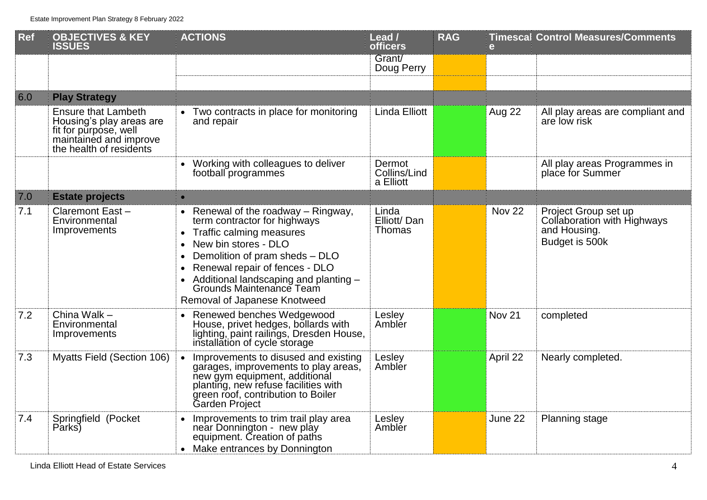| <b>Ref</b> | <b>OBJECTIVES &amp; KEY</b><br><b>ISSUES</b>                                                                                         | <b>ACTIONS</b>                                                                                                                                                                                                                                                                                                                                         | Lead /<br><b>officers</b>           | <b>RAG</b> | e                 | <b>Timescal Control Measures/Comments</b>                                             |
|------------|--------------------------------------------------------------------------------------------------------------------------------------|--------------------------------------------------------------------------------------------------------------------------------------------------------------------------------------------------------------------------------------------------------------------------------------------------------------------------------------------------------|-------------------------------------|------------|-------------------|---------------------------------------------------------------------------------------|
|            |                                                                                                                                      |                                                                                                                                                                                                                                                                                                                                                        | Grant/<br>Doug Perry                |            |                   |                                                                                       |
| 6.0        | <b>Play Strategy</b>                                                                                                                 |                                                                                                                                                                                                                                                                                                                                                        |                                     |            |                   |                                                                                       |
|            | <b>Ensure that Lambeth</b><br>Housing's play areas are<br>fit for purpose, well<br>maintained and improve<br>the health of residents | • Two contracts in place for monitoring<br>and repair                                                                                                                                                                                                                                                                                                  | <b>Linda Elliott</b>                |            | Aug 22            | All play areas are compliant and<br>are low risk                                      |
|            |                                                                                                                                      | Working with colleagues to deliver<br>football programmes                                                                                                                                                                                                                                                                                              | Dermot<br>Collins/Lind<br>a Elliott |            |                   | All play areas Programmes in<br>place for Summer                                      |
| 7.0        | <b>Estate projects</b>                                                                                                               | $\bullet$                                                                                                                                                                                                                                                                                                                                              |                                     |            |                   |                                                                                       |
| 7.1        | Claremont East-<br>Environmental<br>Improvements                                                                                     | • Renewal of the roadway $-$ Ringway,<br>term contractor for highways<br>Traffic calming measures<br>$\bullet$<br>New bin stores - DLO<br>$\bullet$<br>Demolition of pram sheds - DLO<br>$\bullet$<br>Renewal repair of fences - DLO<br>$\bullet$<br>Additional landscaping and planting -<br>Grounds Maintenance Team<br>Removal of Japanese Knotweed | Linda<br>Elliott/Dan<br>Thomas      |            | <b>Nov 22</b>     | Project Group set up<br>Collaboration with Highways<br>and Housing.<br>Budget is 500k |
| 7.2        | China Walk -<br>Environmental<br>Improvements                                                                                        | • Renewed benches Wedgewood<br>House, privet hedges, bollards with<br>lighting, paint railings, Dresden House,<br>installation of cycle storage                                                                                                                                                                                                        | Lesley<br>Ambler                    |            | Nov <sub>21</sub> | completed                                                                             |
| 7.3        | <b>Myatts Field (Section 106)</b>                                                                                                    | Improvements to disused and existing<br>garages, improvements to play areas,<br>new gym equipment, additional<br>planting, new refuse facilities with<br>green roof, contribution to Boiler<br>Garden Project                                                                                                                                          | Lesley<br>Ambler                    |            | April 22          | Nearly completed.                                                                     |
| 7.4        | Springfield (Pocket<br>Parks)                                                                                                        | Improvements to trim trail play area<br>near Donnington - new play<br>equipment. Creation of paths<br>• Make entrances by Donnington                                                                                                                                                                                                                   | Lesley<br>Ambler                    |            | June 22           | <b>Planning stage</b>                                                                 |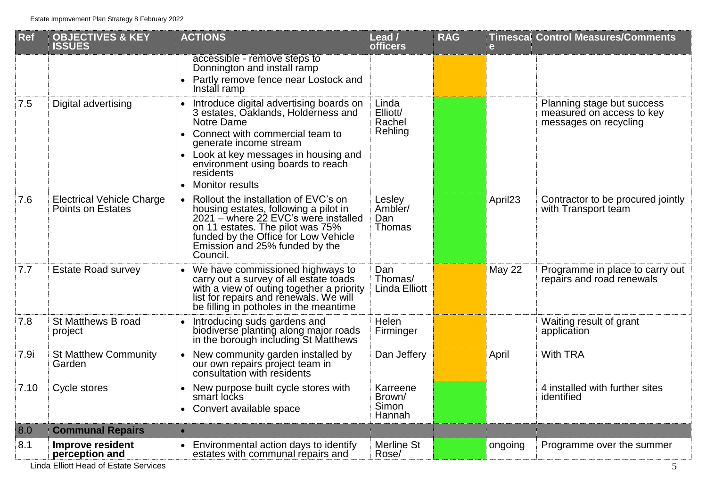| <b>Ref</b> | <b>OBJECTIVES &amp; KEY</b><br><b>ISSUES</b>                 | <b>ACTIONS</b>                                                                                                                                                                                                                                                            | Lead /<br><b>officers</b>              | <b>RAG</b> | e                   | <b>Timescal Control Measures/Comments</b>                                        |
|------------|--------------------------------------------------------------|---------------------------------------------------------------------------------------------------------------------------------------------------------------------------------------------------------------------------------------------------------------------------|----------------------------------------|------------|---------------------|----------------------------------------------------------------------------------|
|            |                                                              | accessible - remove steps to<br>Donnington and install ramp<br>Partly remove fence near Lostock and<br>Install ramp                                                                                                                                                       |                                        |            |                     |                                                                                  |
| 7.5        | Digital advertising                                          | Introduce digital advertising boards on<br>3 estates, Oaklands, Holderness and<br>Notre Dame<br>• Connect with commercial team to<br>generate income stream<br>Look at key messages in housing and<br>environment using boards to reach<br>residents<br>• Monitor results | Linda<br>Elliott/<br>Rachel<br>Rehling |            |                     | Planning stage but success<br>measured on access to key<br>messages on recycling |
| 7.6        | <b>Electrical Vehicle Charge</b><br><b>Points on Estates</b> | Rollout the installation of EVC's on<br>$\bullet$<br>housing estates, following a pilot in<br>2021 – where 22 EVC's were installed<br>on 11 estates. The pilot was 75%<br>funded by the Office for Low Vehicle<br>Emission and 25% funded by the<br>Council.              | Lesley<br>Ambler/<br>Dan<br>Thomas     |            | April <sub>23</sub> | Contractor to be procured jointly<br>with Transport team                         |
| 7.7        | <b>Estate Road survey</b>                                    | We have commissioned highways to<br>$\bullet$<br>carry out a survey of all estate toads<br>with a view of outing together a priority<br>list for repairs and renewals. We will<br>be filling in potholes in the meantime                                                  | Dan<br>Thomas/<br><b>Linda Elliott</b> |            | <b>May 22</b>       | Programme in place to carry out<br>repairs and road renewals                     |
| 7.8        | St Matthews B road<br>project                                | Introducing suds gardens and<br>$\bullet$<br>biodiverse planting along major roads<br>in the borough including St Matthews                                                                                                                                                | Helen<br>Firminger                     |            |                     | Waiting result of grant<br>application                                           |
| 7.9i       | <b>St Matthew Community</b><br>Garden                        | New community garden installed by<br>our own repairs project team in<br>consultation with residents                                                                                                                                                                       | Dan Jeffery                            |            | April               | <b>With TRA</b>                                                                  |
| 7.10       | Cycle stores                                                 | New purpose built cycle stores with<br>smart locks<br>• Convert available space                                                                                                                                                                                           | Karreene<br>Brown/<br>Simon<br>Hannah  |            |                     | 4 installed with further sites<br>identified                                     |
| 8.0        | <b>Communal Repairs</b>                                      | $\bullet$                                                                                                                                                                                                                                                                 |                                        |            |                     |                                                                                  |
| 8.1        | <b>Improve resident</b><br>perception and                    | Environmental action days to identify<br>estates with communal repairs and                                                                                                                                                                                                | <b>Merline St</b><br>Rose/             |            | ongoing             | Programme over the summer                                                        |

Linda Elliott Head of Estate Services 5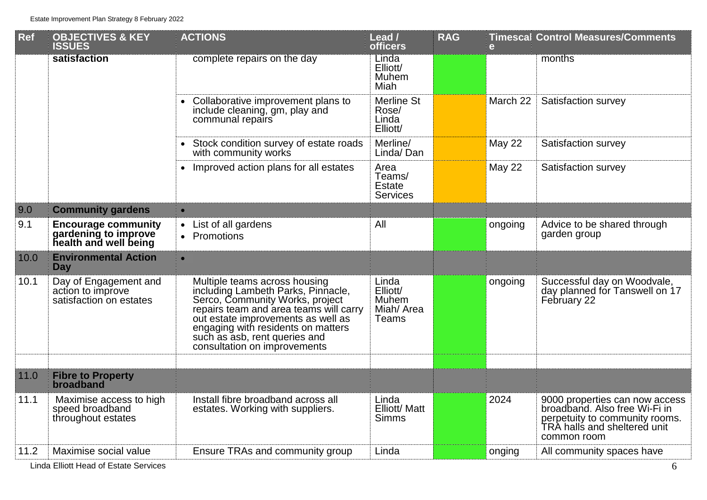| Ref  | <b>OBJECTIVES &amp; KEY</b><br><b>ISSUES</b>                                | <b>ACTIONS</b>                                                                                                                                                                                                                                                                                | Lead /<br><b>officers</b>                          | <b>RAG</b> | e             | <b>Timescal Control Measures/Comments</b>                                                                                                        |
|------|-----------------------------------------------------------------------------|-----------------------------------------------------------------------------------------------------------------------------------------------------------------------------------------------------------------------------------------------------------------------------------------------|----------------------------------------------------|------------|---------------|--------------------------------------------------------------------------------------------------------------------------------------------------|
|      | satisfaction                                                                | complete repairs on the day                                                                                                                                                                                                                                                                   | Linda<br>Elliott/<br>Muhem<br>Miah                 |            |               | months                                                                                                                                           |
|      |                                                                             | Collaborative improvement plans to<br>$\bullet$<br>include cleaning, gm, play and<br>communal repairs                                                                                                                                                                                         | <b>Merline St</b><br>Rose/<br>Linda<br>Elliott/    |            | March 22      | Satisfaction survey                                                                                                                              |
|      |                                                                             | Stock condition survey of estate roads<br>with community works                                                                                                                                                                                                                                | Merline/<br>Linda/Dan                              |            | <b>May 22</b> | Satisfaction survey                                                                                                                              |
|      |                                                                             | • Improved action plans for all estates                                                                                                                                                                                                                                                       | Area<br>Teams/<br><b>Estate</b><br><b>Services</b> |            | <b>May 22</b> | Satisfaction survey                                                                                                                              |
| 9.0  | <b>Community gardens</b>                                                    | $\bullet$                                                                                                                                                                                                                                                                                     |                                                    |            |               |                                                                                                                                                  |
| 9.1  | <b>Encourage community</b><br>gardening to improve<br>health and well being | • List of all gardens<br>• Promotions                                                                                                                                                                                                                                                         | All                                                |            | ongoing       | Advice to be shared through<br>garden group                                                                                                      |
| 10.0 | <b>Environmental Action</b><br>Day                                          | $\bullet$                                                                                                                                                                                                                                                                                     |                                                    |            |               |                                                                                                                                                  |
| 10.1 | Day of Engagement and<br>action to improve<br>satisfaction on estates       | Multiple teams across housing<br>including Lambeth Parks, Pinnacle,<br>Serco, Community Works, project<br>repairs team and area teams will carry<br>out estate improvements as well as<br>engaging with residents on matters<br>such as asb, rent queries and<br>consultation on improvements | Linda<br>Elliott/<br>Muhem<br>Miah/ Area<br>Teams  |            | ongoing       | Successful day on Woodvale,<br>day planned for Tanswell on 17<br>February 22                                                                     |
|      |                                                                             |                                                                                                                                                                                                                                                                                               |                                                    |            |               |                                                                                                                                                  |
| 11.0 | <b>Fibre to Property</b><br>broadband                                       |                                                                                                                                                                                                                                                                                               |                                                    |            |               |                                                                                                                                                  |
| 11.1 | Maximise access to high<br>speed broadband<br>throughout estates            | Install fibre broadband across all<br>estates. Working with suppliers.                                                                                                                                                                                                                        | Linda<br>Elliott/ Matt<br><b>Simms</b>             |            | 2024          | 9000 properties can now access<br>broadband. Also free Wi-Fi in<br>perpetuity to community rooms.<br>TRA halls and sheltered unit<br>common room |
| 11.2 | Maximise social value                                                       | Ensure TRAs and community group                                                                                                                                                                                                                                                               | Linda                                              |            | onging        | All community spaces have                                                                                                                        |